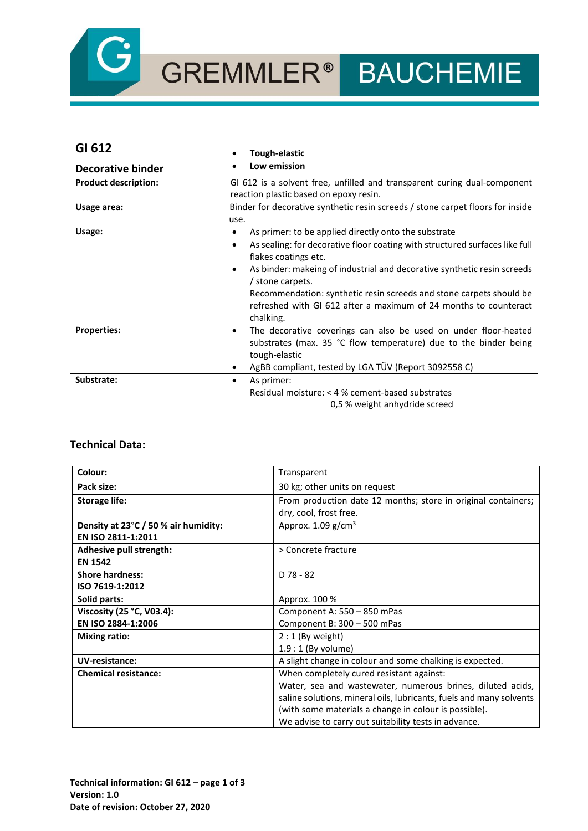

| GI 612                      | Tough-elastic                                                                                                                                                                                                                                                                                                                                                                                                                                     |
|-----------------------------|---------------------------------------------------------------------------------------------------------------------------------------------------------------------------------------------------------------------------------------------------------------------------------------------------------------------------------------------------------------------------------------------------------------------------------------------------|
| Decorative binder           | Low emission                                                                                                                                                                                                                                                                                                                                                                                                                                      |
| <b>Product description:</b> | GI 612 is a solvent free, unfilled and transparent curing dual-component<br>reaction plastic based on epoxy resin.                                                                                                                                                                                                                                                                                                                                |
| Usage area:                 | Binder for decorative synthetic resin screeds / stone carpet floors for inside<br>use.                                                                                                                                                                                                                                                                                                                                                            |
| Usage:                      | As primer: to be applied directly onto the substrate<br>$\bullet$<br>As sealing: for decorative floor coating with structured surfaces like full<br>٠<br>flakes coatings etc.<br>As binder: makeing of industrial and decorative synthetic resin screeds<br>$\bullet$<br>/ stone carpets.<br>Recommendation: synthetic resin screeds and stone carpets should be<br>refreshed with GI 612 after a maximum of 24 months to counteract<br>chalking. |
| <b>Properties:</b>          | The decorative coverings can also be used on under floor-heated<br>$\bullet$<br>substrates (max. 35 °C flow temperature) due to the binder being<br>tough-elastic<br>AgBB compliant, tested by LGA TÜV (Report 3092558 C)                                                                                                                                                                                                                         |
| Substrate:                  | As primer:<br>٠<br>Residual moisture: < 4 % cement-based substrates<br>0.5 % weight anhydride screed                                                                                                                                                                                                                                                                                                                                              |

### **Technical Data:**

| Colour:                              | Transparent                                                         |
|--------------------------------------|---------------------------------------------------------------------|
| Pack size:                           | 30 kg; other units on request                                       |
| <b>Storage life:</b>                 | From production date 12 months; store in original containers;       |
|                                      | dry, cool, frost free.                                              |
| Density at 23°C / 50 % air humidity: | Approx. $1.09$ g/cm <sup>3</sup>                                    |
| EN ISO 2811-1:2011                   |                                                                     |
| Adhesive pull strength:              | > Concrete fracture                                                 |
| <b>EN 1542</b>                       |                                                                     |
| <b>Shore hardness:</b>               | $D78 - 82$                                                          |
| ISO 7619-1:2012                      |                                                                     |
| Solid parts:                         | Approx. 100 %                                                       |
| Viscosity (25 °C, V03.4):            | Component A: 550 - 850 mPas                                         |
| EN ISO 2884-1:2006                   | Component B: 300 - 500 mPas                                         |
| <b>Mixing ratio:</b>                 | $2:1$ (By weight)                                                   |
|                                      | $1.9:1$ (By volume)                                                 |
| UV-resistance:                       | A slight change in colour and some chalking is expected.            |
| <b>Chemical resistance:</b>          | When completely cured resistant against:                            |
|                                      | Water, sea and wastewater, numerous brines, diluted acids,          |
|                                      | saline solutions, mineral oils, lubricants, fuels and many solvents |
|                                      | (with some materials a change in colour is possible).               |
|                                      | We advise to carry out suitability tests in advance.                |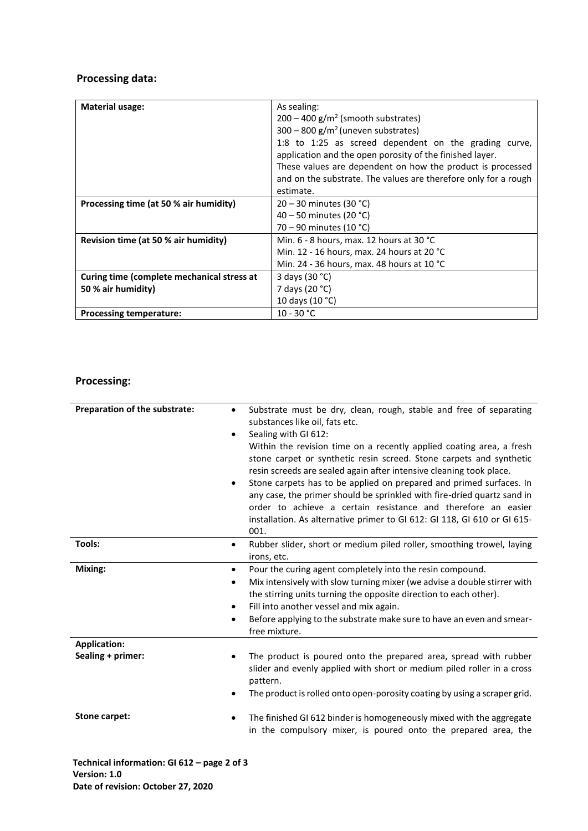# **Processing data:**

| <b>Material usage:</b>                                           | As sealing:<br>$200 - 400$ g/m <sup>2</sup> (smooth substrates)<br>$300 - 800$ g/m <sup>2</sup> (uneven substrates)<br>1:8 to 1:25 as screed dependent on the grading curve,<br>application and the open porosity of the finished layer.<br>These values are dependent on how the product is processed |
|------------------------------------------------------------------|--------------------------------------------------------------------------------------------------------------------------------------------------------------------------------------------------------------------------------------------------------------------------------------------------------|
|                                                                  | and on the substrate. The values are therefore only for a rough<br>estimate.                                                                                                                                                                                                                           |
| Processing time (at 50 % air humidity)                           | $20 - 30$ minutes (30 °C)<br>40 – 50 minutes (20 $^{\circ}$ C)<br>70 – 90 minutes (10 °C)                                                                                                                                                                                                              |
| Revision time (at 50 % air humidity)                             | Min. $6 - 8$ hours, max. 12 hours at 30 °C<br>Min. 12 - 16 hours, max. 24 hours at 20 °C<br>Min. 24 - 36 hours, max. 48 hours at 10 $^{\circ}$ C                                                                                                                                                       |
| Curing time (complete mechanical stress at<br>50 % air humidity) | 3 days (30 °C)<br>7 days (20 °C)                                                                                                                                                                                                                                                                       |
| <b>Processing temperature:</b>                                   | 10 days (10 °C)<br>$10 - 30 °C$                                                                                                                                                                                                                                                                        |

# **Processing:**

| Preparation of the substrate: | Substrate must be dry, clean, rough, stable and free of separating<br>$\bullet$<br>substances like oil, fats etc.<br>Sealing with GI 612:<br>$\bullet$<br>Within the revision time on a recently applied coating area, a fresh<br>stone carpet or synthetic resin screed. Stone carpets and synthetic<br>resin screeds are sealed again after intensive cleaning took place.<br>Stone carpets has to be applied on prepared and primed surfaces. In<br>٠<br>any case, the primer should be sprinkled with fire-dried quartz sand in<br>order to achieve a certain resistance and therefore an easier<br>installation. As alternative primer to GI 612: GI 118, GI 610 or GI 615-<br>001. |
|-------------------------------|------------------------------------------------------------------------------------------------------------------------------------------------------------------------------------------------------------------------------------------------------------------------------------------------------------------------------------------------------------------------------------------------------------------------------------------------------------------------------------------------------------------------------------------------------------------------------------------------------------------------------------------------------------------------------------------|
| Tools:                        | Rubber slider, short or medium piled roller, smoothing trowel, laying<br>$\bullet$<br>irons, etc.                                                                                                                                                                                                                                                                                                                                                                                                                                                                                                                                                                                        |
| Mixing:                       | Pour the curing agent completely into the resin compound.<br>$\bullet$<br>Mix intensively with slow turning mixer (we advise a double stirrer with<br>$\bullet$<br>the stirring units turning the opposite direction to each other).<br>Fill into another vessel and mix again.<br>$\bullet$<br>Before applying to the substrate make sure to have an even and smear-<br>٠<br>free mixture.                                                                                                                                                                                                                                                                                              |
| <b>Application:</b>           |                                                                                                                                                                                                                                                                                                                                                                                                                                                                                                                                                                                                                                                                                          |
| Sealing + primer:             | The product is poured onto the prepared area, spread with rubber<br>slider and evenly applied with short or medium piled roller in a cross<br>pattern.<br>The product is rolled onto open-porosity coating by using a scraper grid.<br>٠                                                                                                                                                                                                                                                                                                                                                                                                                                                 |
| Stone carpet:                 | The finished GI 612 binder is homogeneously mixed with the aggregate<br>٠<br>in the compulsory mixer, is poured onto the prepared area, the                                                                                                                                                                                                                                                                                                                                                                                                                                                                                                                                              |